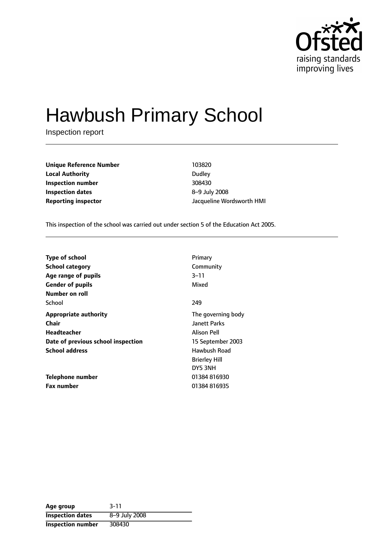

# Hawbush Primary School

Inspection report

| <b>Unique Reference Number</b> | 103820    |
|--------------------------------|-----------|
| <b>Local Authority</b>         | Dudley    |
| Inspection number              | 308430    |
| <b>Inspection dates</b>        | $8-9$ Jul |
| Reporting inspector            | Jacquel   |

**Dudley Inspection number** 308430 **Inspection dates** 89 July 2008 **Reporting inspector** Jacqueline Wordsworth HMI

This inspection of the school was carried out under section 5 of the Education Act 2005.

| Type of school                     | Primary              |
|------------------------------------|----------------------|
| <b>School category</b>             | Community            |
| Age range of pupils                | $3 - 11$             |
| <b>Gender of pupils</b>            | Mixed                |
| <b>Number on roll</b>              |                      |
| School                             | 249                  |
| <b>Appropriate authority</b>       | The governing body   |
| Chair                              | <b>Janett Parks</b>  |
| Headteacher                        | <b>Alison Pell</b>   |
| Date of previous school inspection | 15 September 2003    |
| <b>School address</b>              | Hawbush Road         |
|                                    | <b>Brierley Hill</b> |
|                                    | DY5 3NH              |
| <b>Telephone number</b>            | 01384816930          |
| <b>Fax number</b>                  | 01384816935          |

| Age group                | $3 - 11$      |
|--------------------------|---------------|
| <b>Inspection dates</b>  | 8-9 July 2008 |
| <b>Inspection number</b> | 308430        |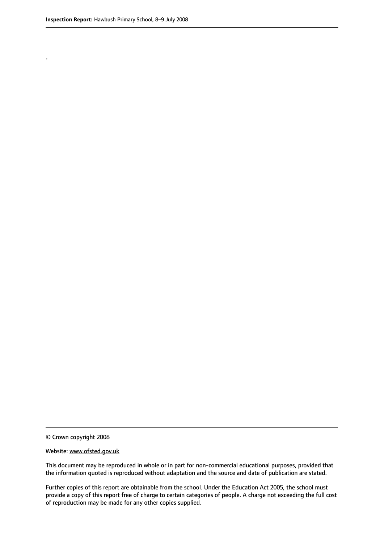.

© Crown copyright 2008

#### Website: www.ofsted.gov.uk

This document may be reproduced in whole or in part for non-commercial educational purposes, provided that the information quoted is reproduced without adaptation and the source and date of publication are stated.

Further copies of this report are obtainable from the school. Under the Education Act 2005, the school must provide a copy of this report free of charge to certain categories of people. A charge not exceeding the full cost of reproduction may be made for any other copies supplied.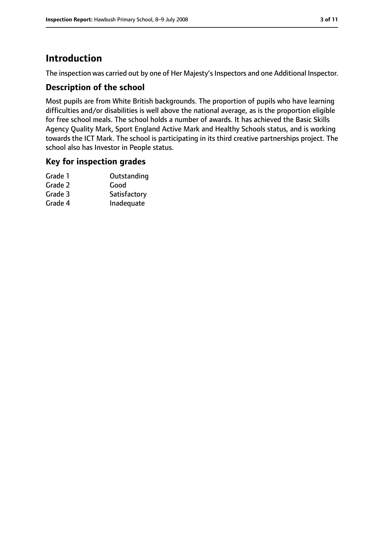### **Introduction**

The inspection was carried out by one of Her Majesty's Inspectors and one Additional Inspector.

#### **Description of the school**

Most pupils are from White British backgrounds. The proportion of pupils who have learning difficulties and/or disabilities is well above the national average, as is the proportion eligible for free school meals. The school holds a number of awards. It has achieved the Basic Skills Agency Quality Mark, Sport England Active Mark and Healthy Schools status, and is working towards the ICT Mark. The school is participating in its third creative partnerships project. The school also has Investor in People status.

#### **Key for inspection grades**

| Grade 1 | Outstanding  |
|---------|--------------|
| Grade 2 | Good         |
| Grade 3 | Satisfactory |
| Grade 4 | Inadequate   |
|         |              |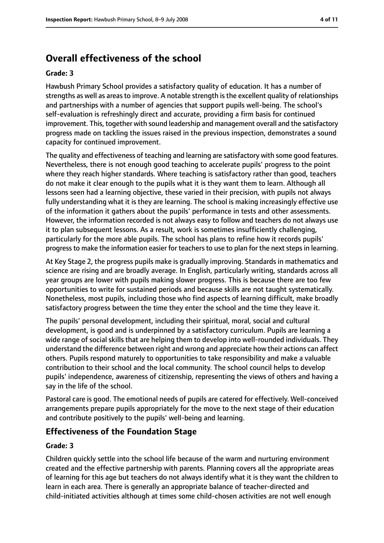### **Overall effectiveness of the school**

#### **Grade: 3**

Hawbush Primary School provides a satisfactory quality of education. It has a number of strengths as well as areas to improve. A notable strength is the excellent quality of relationships and partnerships with a number of agencies that support pupils well-being. The school's self-evaluation is refreshingly direct and accurate, providing a firm basis for continued improvement. This, together with sound leadership and management overall and the satisfactory progress made on tackling the issues raised in the previous inspection, demonstrates a sound capacity for continued improvement.

The quality and effectiveness of teaching and learning are satisfactory with some good features. Nevertheless, there is not enough good teaching to accelerate pupils' progress to the point where they reach higher standards. Where teaching is satisfactory rather than good, teachers do not make it clear enough to the pupils what it is they want them to learn. Although all lessons seen had a learning objective, these varied in their precision, with pupils not always fully understanding what it is they are learning. The school is making increasingly effective use of the information it gathers about the pupils' performance in tests and other assessments. However, the information recorded is not always easy to follow and teachers do not always use it to plan subsequent lessons. As a result, work is sometimes insufficiently challenging, particularly for the more able pupils. The school has plans to refine how it records pupils' progress to make the information easier for teachers to use to plan for the next steps in learning.

At Key Stage 2, the progress pupils make is gradually improving. Standards in mathematics and science are rising and are broadly average. In English, particularly writing, standards across all year groups are lower with pupils making slower progress. This is because there are too few opportunities to write for sustained periods and because skills are not taught systematically. Nonetheless, most pupils, including those who find aspects of learning difficult, make broadly satisfactory progress between the time they enter the school and the time they leave it.

The pupils' personal development, including their spiritual, moral, social and cultural development, is good and is underpinned by a satisfactory curriculum. Pupils are learning a wide range of social skills that are helping them to develop into well-rounded individuals. They understand the difference between right and wrong and appreciate how their actions can affect others. Pupils respond maturely to opportunities to take responsibility and make a valuable contribution to their school and the local community. The school council helps to develop pupils' independence, awareness of citizenship, representing the views of others and having a say in the life of the school.

Pastoral care is good. The emotional needs of pupils are catered for effectively. Well-conceived arrangements prepare pupils appropriately for the move to the next stage of their education and contribute positively to the pupils' well-being and learning.

### **Effectiveness of the Foundation Stage**

#### **Grade: 3**

Children quickly settle into the school life because of the warm and nurturing environment created and the effective partnership with parents. Planning covers all the appropriate areas of learning for this age but teachers do not always identify what it is they want the children to learn in each area. There is generally an appropriate balance of teacher-directed and child-initiated activities although at times some child-chosen activities are not well enough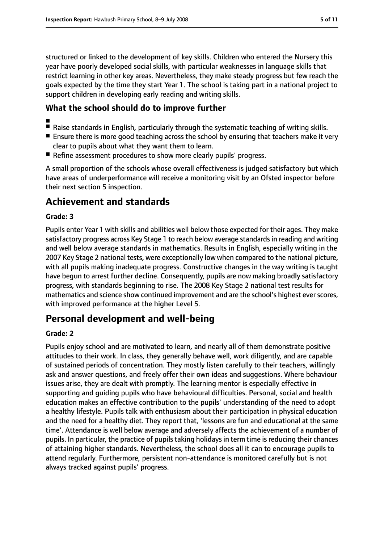structured or linked to the development of key skills. Children who entered the Nursery this year have poorly developed social skills, with particular weaknesses in language skills that restrict learning in other key areas. Nevertheless, they make steady progress but few reach the goals expected by the time they start Year 1. The school is taking part in a national project to support children in developing early reading and writing skills.

#### **What the school should do to improve further**

- ■
- Raise standards in English, particularly through the systematic teaching of writing skills.
- Ensure there is more good teaching across the school by ensuring that teachers make it very clear to pupils about what they want them to learn.
- Refine assessment procedures to show more clearly pupils' progress.

A small proportion of the schools whose overall effectiveness is judged satisfactory but which have areas of underperformance will receive a monitoring visit by an Ofsted inspector before their next section 5 inspection.

### **Achievement and standards**

#### **Grade: 3**

Pupils enter Year 1 with skills and abilities well below those expected for their ages. They make satisfactory progress across Key Stage 1 to reach below average standardsin reading and writing and well below average standards in mathematics. Results in English, especially writing in the 2007 Key Stage 2 national tests, were exceptionally low when compared to the national picture, with all pupils making inadequate progress. Constructive changes in the way writing is taught have begun to arrest further decline. Consequently, pupils are now making broadly satisfactory progress, with standards beginning to rise. The 2008 Key Stage 2 national test results for mathematics and science show continued improvement and are the school's highest everscores, with improved performance at the higher Level 5.

### **Personal development and well-being**

#### **Grade: 2**

Pupils enjoy school and are motivated to learn, and nearly all of them demonstrate positive attitudes to their work. In class, they generally behave well, work diligently, and are capable of sustained periods of concentration. They mostly listen carefully to their teachers, willingly ask and answer questions, and freely offer their own ideas and suggestions. Where behaviour issues arise, they are dealt with promptly. The learning mentor is especially effective in supporting and guiding pupils who have behavioural difficulties. Personal, social and health education makes an effective contribution to the pupils' understanding of the need to adopt a healthy lifestyle. Pupils talk with enthusiasm about their participation in physical education and the need for a healthy diet. They report that, 'lessons are fun and educational at the same time'. Attendance is well below average and adversely affects the achievement of a number of pupils. In particular, the practice of pupils taking holidays in term time is reducing their chances of attaining higher standards. Nevertheless, the school does all it can to encourage pupils to attend regularly. Furthermore, persistent non-attendance is monitored carefully but is not always tracked against pupils' progress.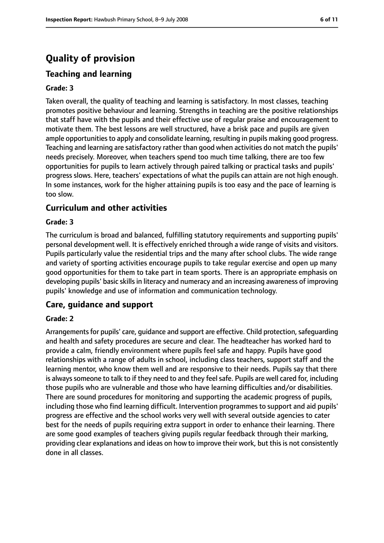## **Quality of provision**

### **Teaching and learning**

#### **Grade: 3**

Taken overall, the quality of teaching and learning is satisfactory. In most classes, teaching promotes positive behaviour and learning. Strengths in teaching are the positive relationships that staff have with the pupils and their effective use of regular praise and encouragement to motivate them. The best lessons are well structured, have a brisk pace and pupils are given ample opportunities to apply and consolidate learning, resulting in pupils making good progress. Teaching and learning are satisfactory rather than good when activities do not match the pupils' needs precisely. Moreover, when teachers spend too much time talking, there are too few opportunities for pupils to learn actively through paired talking or practical tasks and pupils' progress slows. Here, teachers' expectations of what the pupils can attain are not high enough. In some instances, work for the higher attaining pupils is too easy and the pace of learning is too slow.

#### **Curriculum and other activities**

#### **Grade: 3**

The curriculum is broad and balanced, fulfilling statutory requirements and supporting pupils' personal development well. It is effectively enriched through a wide range of visits and visitors. Pupils particularly value the residential trips and the many after school clubs. The wide range and variety of sporting activities encourage pupils to take regular exercise and open up many good opportunities for them to take part in team sports. There is an appropriate emphasis on developing pupils' basic skillsin literacy and numeracy and an increasing awareness of improving pupils' knowledge and use of information and communication technology.

#### **Care, guidance and support**

#### **Grade: 2**

Arrangements for pupils' care, guidance and support are effective. Child protection, safeguarding and health and safety procedures are secure and clear. The headteacher has worked hard to provide a calm, friendly environment where pupils feel safe and happy. Pupils have good relationships with a range of adults in school, including class teachers, support staff and the learning mentor, who know them well and are responsive to their needs. Pupils say that there is always someone to talk to if they need to and they feel safe. Pupils are well cared for, including those pupils who are vulnerable and those who have learning difficulties and/or disabilities. There are sound procedures for monitoring and supporting the academic progress of pupils, including those who find learning difficult. Intervention programmes to support and aid pupils' progress are effective and the school works very well with several outside agencies to cater best for the needs of pupils requiring extra support in order to enhance their learning. There are some good examples of teachers giving pupils regular feedback through their marking, providing clear explanations and ideas on how to improve their work, but this is not consistently done in all classes.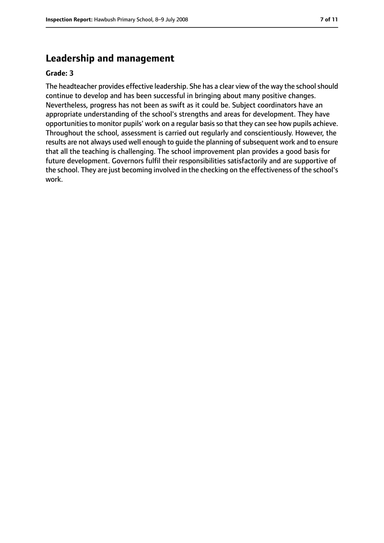### **Leadership and management**

#### **Grade: 3**

The headteacher provides effective leadership. She has a clear view of the way the school should continue to develop and has been successful in bringing about many positive changes. Nevertheless, progress has not been as swift as it could be. Subject coordinators have an appropriate understanding of the school's strengths and areas for development. They have opportunities to monitor pupils' work on a regular basis so that they can see how pupils achieve. Throughout the school, assessment is carried out regularly and conscientiously. However, the results are not always used well enough to quide the planning of subsequent work and to ensure that all the teaching is challenging. The school improvement plan provides a good basis for future development. Governors fulfil their responsibilities satisfactorily and are supportive of the school. They are just becoming involved in the checking on the effectiveness of the school's work.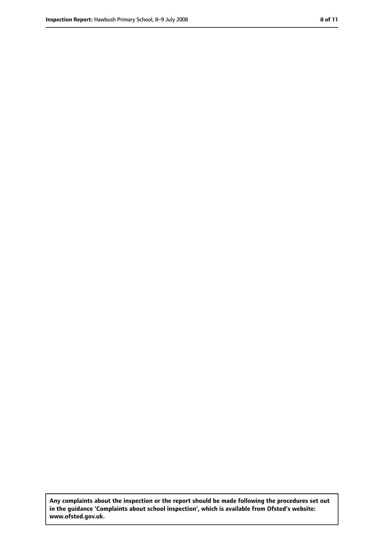**Any complaints about the inspection or the report should be made following the procedures set out in the guidance 'Complaints about school inspection', which is available from Ofsted's website: www.ofsted.gov.uk.**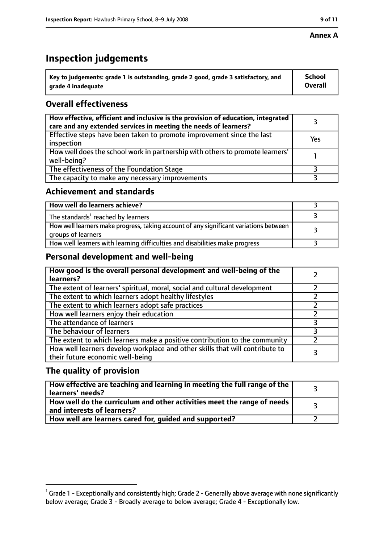#### **Annex A**

### **Inspection judgements**

| $^{\backprime}$ Key to judgements: grade 1 is outstanding, grade 2 good, grade 3 satisfactory, and | <b>School</b>  |
|----------------------------------------------------------------------------------------------------|----------------|
| arade 4 inadequate                                                                                 | <b>Overall</b> |

### **Overall effectiveness**

| How effective, efficient and inclusive is the provision of education, integrated<br>care and any extended services in meeting the needs of learners? |     |
|------------------------------------------------------------------------------------------------------------------------------------------------------|-----|
| Effective steps have been taken to promote improvement since the last<br>inspection                                                                  | Yes |
| How well does the school work in partnership with others to promote learners'<br>well-being?                                                         |     |
| The effectiveness of the Foundation Stage                                                                                                            |     |
| The capacity to make any necessary improvements                                                                                                      |     |

#### **Achievement and standards**

| How well do learners achieve?                                                                               |  |
|-------------------------------------------------------------------------------------------------------------|--|
| The standards <sup>1</sup> reached by learners                                                              |  |
| How well learners make progress, taking account of any significant variations between<br>groups of learners |  |
| How well learners with learning difficulties and disabilities make progress                                 |  |

#### **Personal development and well-being**

| How good is the overall personal development and well-being of the<br>learners?                                  |  |
|------------------------------------------------------------------------------------------------------------------|--|
| The extent of learners' spiritual, moral, social and cultural development                                        |  |
| The extent to which learners adopt healthy lifestyles                                                            |  |
| The extent to which learners adopt safe practices                                                                |  |
| How well learners enjoy their education                                                                          |  |
| The attendance of learners                                                                                       |  |
| The behaviour of learners                                                                                        |  |
| The extent to which learners make a positive contribution to the community                                       |  |
| How well learners develop workplace and other skills that will contribute to<br>their future economic well-being |  |

### **The quality of provision**

| How effective are teaching and learning in meeting the full range of the<br>learners' needs?          |  |
|-------------------------------------------------------------------------------------------------------|--|
| How well do the curriculum and other activities meet the range of needs<br>and interests of learners? |  |
| How well are learners cared for, guided and supported?                                                |  |

 $^1$  Grade 1 - Exceptionally and consistently high; Grade 2 - Generally above average with none significantly below average; Grade 3 - Broadly average to below average; Grade 4 - Exceptionally low.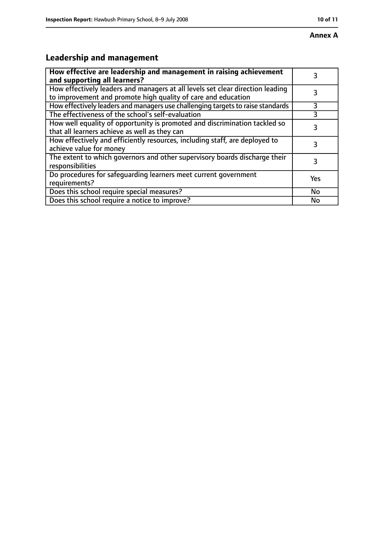### **Annex A**

## **Leadership and management**

| How effective are leadership and management in raising achievement<br>and supporting all learners?                                              | 3   |
|-------------------------------------------------------------------------------------------------------------------------------------------------|-----|
| How effectively leaders and managers at all levels set clear direction leading<br>to improvement and promote high quality of care and education |     |
| How effectively leaders and managers use challenging targets to raise standards                                                                 | 3   |
| The effectiveness of the school's self-evaluation                                                                                               |     |
| How well equality of opportunity is promoted and discrimination tackled so<br>that all learners achieve as well as they can                     | 3   |
| How effectively and efficiently resources, including staff, are deployed to<br>achieve value for money                                          | 3   |
| The extent to which governors and other supervisory boards discharge their<br>responsibilities                                                  | 3   |
| Do procedures for safequarding learners meet current government<br>requirements?                                                                | Yes |
| Does this school require special measures?                                                                                                      | No  |
| Does this school require a notice to improve?                                                                                                   | No  |